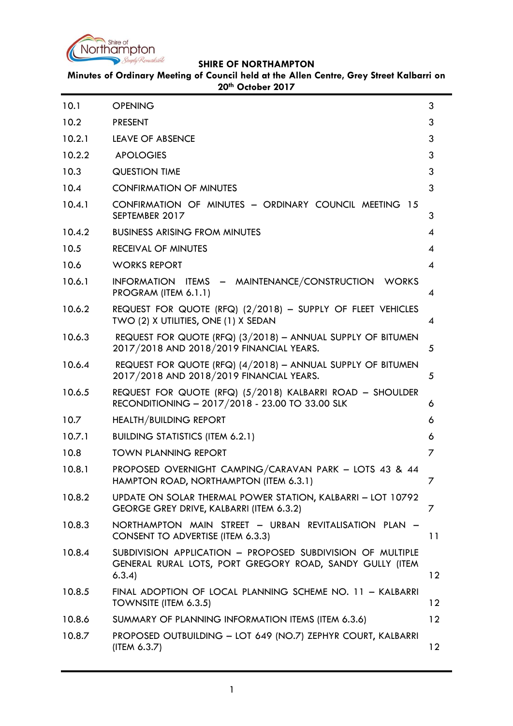

| 10.1   | <b>OPENING</b>                                                                                                                  | 3               |
|--------|---------------------------------------------------------------------------------------------------------------------------------|-----------------|
| 10.2   | <b>PRESENT</b>                                                                                                                  | 3               |
| 10.2.1 | <b>LEAVE OF ABSENCE</b>                                                                                                         | 3               |
| 10.2.2 | <b>APOLOGIES</b>                                                                                                                | 3               |
| 10.3   | <b>QUESTION TIME</b>                                                                                                            | 3               |
| 10.4   | <b>CONFIRMATION OF MINUTES</b>                                                                                                  | 3               |
| 10.4.1 | CONFIRMATION OF MINUTES - ORDINARY COUNCIL MEETING 15<br>SEPTEMBER 2017                                                         | 3               |
| 10.4.2 | <b>BUSINESS ARISING FROM MINUTES</b>                                                                                            | 4               |
| 10.5   | <b>RECEIVAL OF MINUTES</b>                                                                                                      | 4               |
| 10.6   | <b>WORKS REPORT</b>                                                                                                             | 4               |
| 10.6.1 | INFORMATION ITEMS - MAINTENANCE/CONSTRUCTION WORKS<br>PROGRAM (ITEM 6.1.1)                                                      | 4               |
| 10.6.2 | REQUEST FOR QUOTE (RFQ) (2/2018) - SUPPLY OF FLEET VEHICLES<br>TWO (2) X UTILITIES, ONE (1) X SEDAN                             | 4               |
| 10.6.3 | REQUEST FOR QUOTE (RFQ) (3/2018) - ANNUAL SUPPLY OF BITUMEN<br>2017/2018 AND 2018/2019 FINANCIAL YEARS.                         | 5               |
| 10.6.4 | REQUEST FOR QUOTE (RFQ) (4/2018) - ANNUAL SUPPLY OF BITUMEN<br>2017/2018 AND 2018/2019 FINANCIAL YEARS.                         | 5               |
| 10.6.5 | REQUEST FOR QUOTE (RFQ) (5/2018) KALBARRI ROAD - SHOULDER<br>RECONDITIONING - 2017/2018 - 23.00 TO 33.00 SLK                    | 6               |
| 10.7   | <b>HEALTH/BUILDING REPORT</b>                                                                                                   | 6               |
| 10.7.1 | <b>BUILDING STATISTICS (ITEM 6.2.1)</b>                                                                                         | 6               |
| 10.8   | <b>TOWN PLANNING REPORT</b>                                                                                                     | 7               |
| 10.8.1 | PROPOSED OVERNIGHT CAMPING/CARAVAN PARK - LOTS 43 & 44<br>HAMPTON ROAD, NORTHAMPTON (ITEM 6.3.1)                                |                 |
| 10.8.2 | UPDATE ON SOLAR THERMAL POWER STATION, KALBARRI - LOT 10792<br>GEORGE GREY DRIVE, KALBARRI (ITEM 6.3.2)                         | 7               |
| 10.8.3 | NORTHAMPTON MAIN STREET - URBAN REVITALISATION PLAN -<br>CONSENT TO ADVERTISE (ITEM 6.3.3)                                      | 11              |
| 10.8.4 | SUBDIVISION APPLICATION - PROPOSED SUBDIVISION OF MULTIPLE<br>GENERAL RURAL LOTS, PORT GREGORY ROAD, SANDY GULLY (ITEM<br>6.3.4 | $12 \,$         |
| 10.8.5 | FINAL ADOPTION OF LOCAL PLANNING SCHEME NO. 11 - KALBARRI<br>TOWNSITE (ITEM 6.3.5)                                              | 12 <sup>2</sup> |
| 10.8.6 | SUMMARY OF PLANNING INFORMATION ITEMS (ITEM 6.3.6)                                                                              | 12 <sup>2</sup> |
| 10.8.7 | PROPOSED OUTBUILDING - LOT 649 (NO.7) ZEPHYR COURT, KALBARRI<br>(ITEM 6.3.7)                                                    | 12 <sup>2</sup> |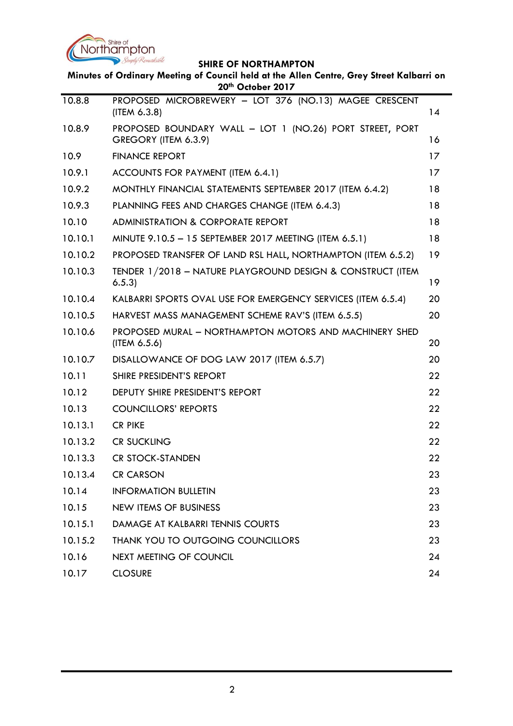

| Minutes of Ordinary Meeting of Council held at the Allen Centre, Grey Street Kalbarri on<br>20th October 2017 |                                                                                  |    |
|---------------------------------------------------------------------------------------------------------------|----------------------------------------------------------------------------------|----|
| 10.8.8                                                                                                        | PROPOSED MICROBREWERY - LOT 376 (NO.13) MAGEE CRESCENT                           |    |
|                                                                                                               | (ITEM 6.3.8)                                                                     | 14 |
| 10.8.9                                                                                                        | PROPOSED BOUNDARY WALL - LOT 1 (NO.26) PORT STREET, PORT<br>GREGORY (ITEM 6.3.9) | 16 |
| 10.9                                                                                                          | <b>FINANCE REPORT</b>                                                            | 17 |
| 10.9.1                                                                                                        | ACCOUNTS FOR PAYMENT (ITEM 6.4.1)                                                | 17 |
| 10.9.2                                                                                                        | MONTHLY FINANCIAL STATEMENTS SEPTEMBER 2017 (ITEM 6.4.2)                         | 18 |
| 10.9.3                                                                                                        | PLANNING FEES AND CHARGES CHANGE (ITEM 6.4.3)                                    | 18 |
| 10.10                                                                                                         | <b>ADMINISTRATION &amp; CORPORATE REPORT</b>                                     | 18 |
| 10.10.1                                                                                                       | MINUTE 9.10.5 - 15 SEPTEMBER 2017 MEETING (ITEM 6.5.1)                           | 18 |
| 10.10.2                                                                                                       | PROPOSED TRANSFER OF LAND RSL HALL, NORTHAMPTON (ITEM 6.5.2)                     | 19 |
| 10.10.3                                                                                                       | TENDER 1/2018 - NATURE PLAYGROUND DESIGN & CONSTRUCT (ITEM<br>6.5.3              | 19 |
| 10.10.4                                                                                                       | KALBARRI SPORTS OVAL USE FOR EMERGENCY SERVICES (ITEM 6.5.4)                     | 20 |
| 10.10.5                                                                                                       | HARVEST MASS MANAGEMENT SCHEME RAV'S (ITEM 6.5.5)                                | 20 |
| 10.10.6                                                                                                       | PROPOSED MURAL - NORTHAMPTON MOTORS AND MACHINERY SHED<br>(ITEM 6.5.6)           | 20 |
| 10.10.7                                                                                                       | DISALLOWANCE OF DOG LAW 2017 (ITEM 6.5.7)                                        | 20 |
| 10.11                                                                                                         | SHIRE PRESIDENT'S REPORT                                                         | 22 |
| 10.12                                                                                                         | <b>DEPUTY SHIRE PRESIDENT'S REPORT</b>                                           | 22 |
| 10.13                                                                                                         | <b>COUNCILLORS' REPORTS</b>                                                      | 22 |
| 10.13.1                                                                                                       | <b>CR PIKE</b>                                                                   | 22 |
| 10.13.2                                                                                                       | <b>CR SUCKLING</b>                                                               | 22 |
| 10.13.3                                                                                                       | <b>CR STOCK-STANDEN</b>                                                          | 22 |
| 10.13.4                                                                                                       | <b>CR CARSON</b>                                                                 | 23 |
| 10.14                                                                                                         | <b>INFORMATION BULLETIN</b>                                                      | 23 |
| 10.15                                                                                                         | <b>NEW ITEMS OF BUSINESS</b>                                                     | 23 |
| 10.15.1                                                                                                       | DAMAGE AT KALBARRI TENNIS COURTS                                                 | 23 |
| 10.15.2                                                                                                       | THANK YOU TO OUTGOING COUNCILLORS                                                | 23 |
| 10.16                                                                                                         | NEXT MEETING OF COUNCIL                                                          | 24 |
| 10.17                                                                                                         | <b>CLOSURE</b>                                                                   | 24 |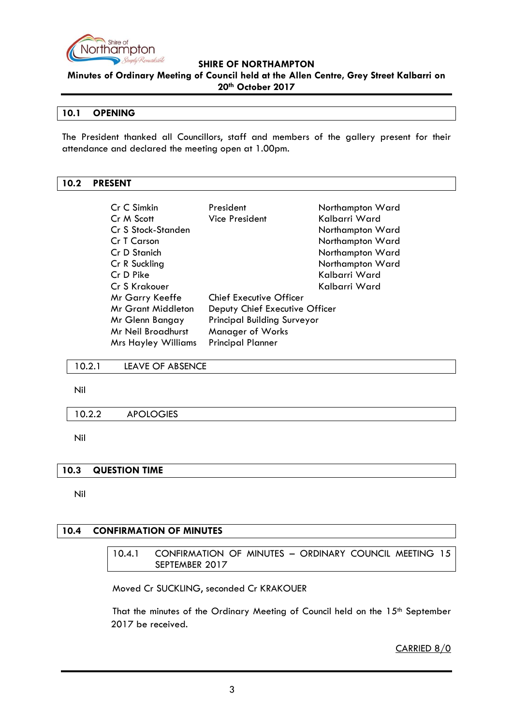

**Minutes of Ordinary Meeting of Council held at the Allen Centre, Grey Street Kalbarri on 20th October 2017**

#### <span id="page-2-0"></span>**10.1 OPENING**

The President thanked all Councillors, staff and members of the gallery present for their attendance and declared the meeting open at 1.00pm.

#### <span id="page-2-1"></span>**10.2 PRESENT**

| Cr C Simkin                | President                          | Northampton Ward |
|----------------------------|------------------------------------|------------------|
| Cr M Scott                 | Vice President                     | Kalbarri Ward    |
| Cr S Stock-Standen         |                                    | Northampton Ward |
| Cr T Carson                |                                    | Northampton Ward |
| Cr D Stanich               |                                    | Northampton Ward |
| Cr R Suckling              |                                    | Northampton Ward |
| Cr D Pike                  |                                    | Kalbarri Ward    |
| Cr S Krakouer              |                                    | Kalbarri Ward    |
| Mr Garry Keeffe            | <b>Chief Executive Officer</b>     |                  |
| Mr Grant Middleton         | Deputy Chief Executive Officer     |                  |
| Mr Glenn Bangay            | <b>Principal Building Surveyor</b> |                  |
| Mr Neil Broadhurst         | Manager of Works                   |                  |
| <b>Mrs Hayley Williams</b> | <b>Principal Planner</b>           |                  |

#### <span id="page-2-2"></span>10.2.1 LEAVE OF ABSENCE

Nil

#### <span id="page-2-3"></span>10.2.2 APOLOGIES

Nil

#### <span id="page-2-4"></span>**10.3 QUESTION TIME**

Nil

#### <span id="page-2-6"></span><span id="page-2-5"></span>**10.4 CONFIRMATION OF MINUTES**

10.4.1 CONFIRMATION OF MINUTES – ORDINARY COUNCIL MEETING 15 SEPTEMBER 2017

Moved Cr SUCKLING, seconded Cr KRAKOUER

That the minutes of the Ordinary Meeting of Council held on the 15<sup>th</sup> September 2017 be received.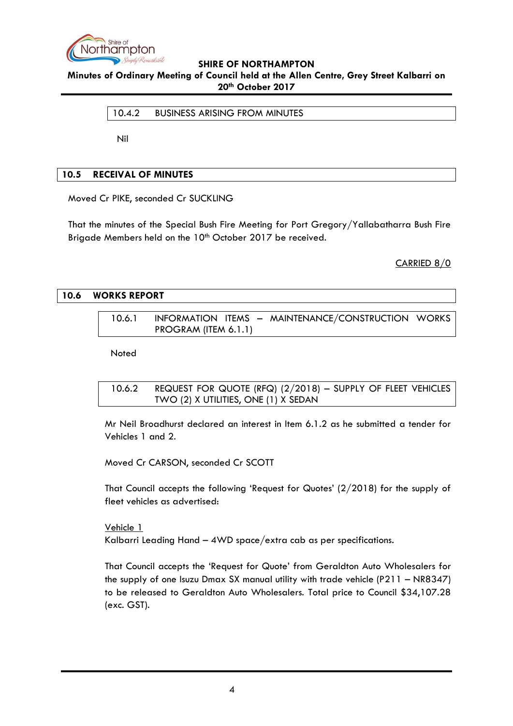

<span id="page-3-0"></span>**Minutes of Ordinary Meeting of Council held at the Allen Centre, Grey Street Kalbarri on 20th October 2017**

10.4.2 BUSINESS ARISING FROM MINUTES

Nil

## <span id="page-3-1"></span>**10.5 RECEIVAL OF MINUTES**

Moved Cr PIKE, seconded Cr SUCKLING

That the minutes of the Special Bush Fire Meeting for Port Gregory/Yallabatharra Bush Fire Brigade Members held on the 10<sup>th</sup> October 2017 be received.

CARRIED 8/0

#### <span id="page-3-3"></span><span id="page-3-2"></span>**10.6 WORKS REPORT**

10.6.1 INFORMATION ITEMS – MAINTENANCE/CONSTRUCTION WORKS PROGRAM (ITEM 6.1.1)

**Noted** 

<span id="page-3-4"></span>

| 10.6.2 | REQUEST FOR QUOTE (RFQ) $(2/2018)$ – SUPPLY OF FLEET VEHICLES |
|--------|---------------------------------------------------------------|
|        | TWO (2) X UTILITIES, ONE (1) X SEDAN                          |

Mr Neil Broadhurst declared an interest in Item 6.1.2 as he submitted a tender for Vehicles 1 and 2.

Moved Cr CARSON, seconded Cr SCOTT

That Council accepts the following "Request for Quotes" (2/2018) for the supply of fleet vehicles as advertised:

Vehicle 1 Kalbarri Leading Hand – 4WD space/extra cab as per specifications.

That Council accepts the "Request for Quote" from Geraldton Auto Wholesalers for the supply of one Isuzu Dmax SX manual utility with trade vehicle (P211 – NR8347) to be released to Geraldton Auto Wholesalers. Total price to Council \$34,107.28 (exc. GST).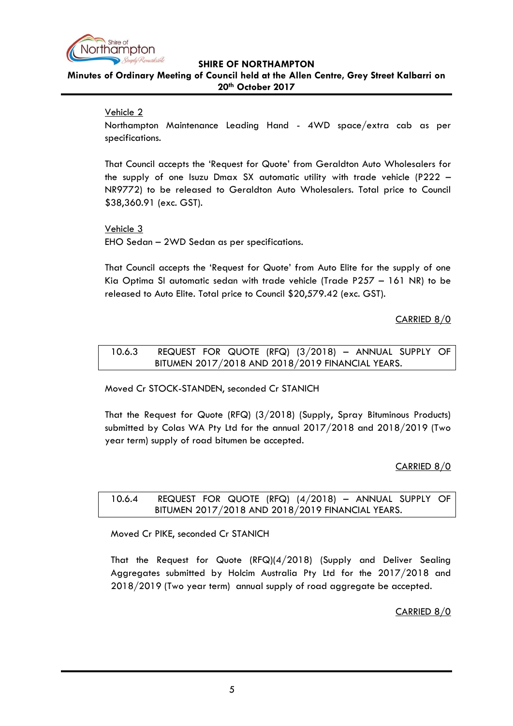

# **Minutes of Ordinary Meeting of Council held at the Allen Centre, Grey Street Kalbarri on 20th October 2017**

## Vehicle 2

Northampton Maintenance Leading Hand - 4WD space/extra cab as per specifications.

That Council accepts the "Request for Quote" from Geraldton Auto Wholesalers for the supply of one Isuzu Dmax SX automatic utility with trade vehicle (P222 – NR9772) to be released to Geraldton Auto Wholesalers. Total price to Council \$38,360.91 (exc. GST).

Vehicle 3 EHO Sedan – 2WD Sedan as per specifications.

That Council accepts the "Request for Quote" from Auto Elite for the supply of one Kia Optima SI automatic sedan with trade vehicle (Trade P257 – 161 NR) to be released to Auto Elite. Total price to Council \$20,579.42 (exc. GST).

## CARRIED 8/0

#### <span id="page-4-0"></span>10.6.3 REQUEST FOR QUOTE (RFQ) (3/2018) – ANNUAL SUPPLY OF BITUMEN 2017/2018 AND 2018/2019 FINANCIAL YEARS.

Moved Cr STOCK-STANDEN, seconded Cr STANICH

That the Request for Quote (RFQ) (3/2018) (Supply, Spray Bituminous Products) submitted by Colas WA Pty Ltd for the annual 2017/2018 and 2018/2019 (Two year term) supply of road bitumen be accepted.

## CARRIED 8/0

<span id="page-4-1"></span>10.6.4 REQUEST FOR QUOTE (RFQ) (4/2018) – ANNUAL SUPPLY OF BITUMEN 2017/2018 AND 2018/2019 FINANCIAL YEARS.

Moved Cr PIKE, seconded Cr STANICH

That the Request for Quote (RFQ)(4/2018) (Supply and Deliver Sealing Aggregates submitted by Holcim Australia Pty Ltd for the 2017/2018 and 2018/2019 (Two year term) annual supply of road aggregate be accepted.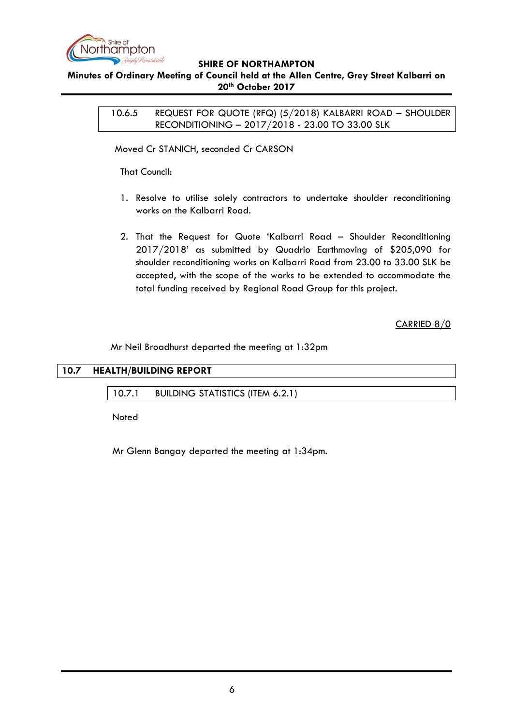

## <span id="page-5-0"></span>**Minutes of Ordinary Meeting of Council held at the Allen Centre, Grey Street Kalbarri on 20th October 2017**

10.6.5 REQUEST FOR QUOTE (RFQ) (5/2018) KALBARRI ROAD – SHOULDER RECONDITIONING – 2017/2018 - 23.00 TO 33.00 SLK

Moved Cr STANICH, seconded Cr CARSON

That Council:

- 1. Resolve to utilise solely contractors to undertake shoulder reconditioning works on the Kalbarri Road.
- 2. That the Request for Quote "Kalbarri Road Shoulder Reconditioning 2017/2018" as submitted by Quadrio Earthmoving of \$205,090 for shoulder reconditioning works on Kalbarri Road from 23.00 to 33.00 SLK be accepted, with the scope of the works to be extended to accommodate the total funding received by Regional Road Group for this project.

CARRIED 8/0

Mr Neil Broadhurst departed the meeting at 1:32pm

<span id="page-5-2"></span><span id="page-5-1"></span>

| 10.7 HEALTH/BUILDING REPORT |  |
|-----------------------------|--|
|                             |  |

10.7.1 BUILDING STATISTICS (ITEM 6.2.1)

Noted

Mr Glenn Bangay departed the meeting at 1:34pm.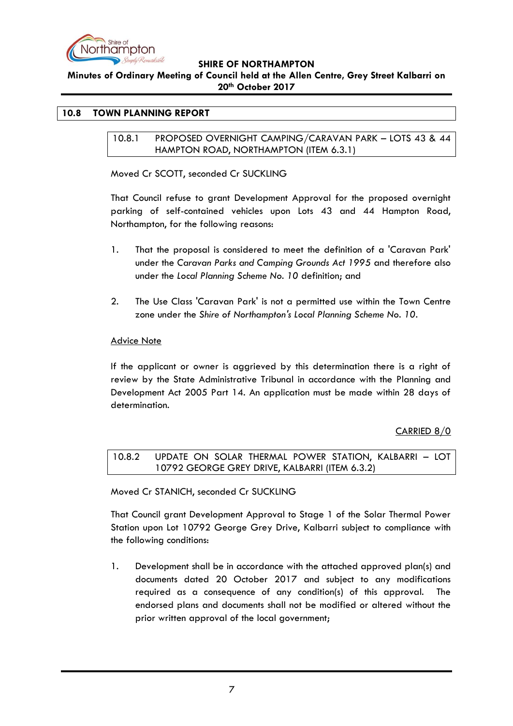

#### **Minutes of Ordinary Meeting of Council held at the Allen Centre, Grey Street Kalbarri on 20th October 2017**

#### <span id="page-6-1"></span><span id="page-6-0"></span>**10.8 TOWN PLANNING REPORT**

10.8.1 PROPOSED OVERNIGHT CAMPING/CARAVAN PARK – LOTS 43 & 44 HAMPTON ROAD, NORTHAMPTON (ITEM 6.3.1)

Moved Cr SCOTT, seconded Cr SUCKLING

That Council refuse to grant Development Approval for the proposed overnight parking of self-contained vehicles upon Lots 43 and 44 Hampton Road, Northampton, for the following reasons:

- 1. That the proposal is considered to meet the definition of a 'Caravan Park' under the *Caravan Parks and Camping Grounds Act 1995* and therefore also under the *Local Planning Scheme No. 10* definition; and
- 2. The Use Class 'Caravan Park' is not a permitted use within the Town Centre zone under the *Shire of Northampton's Local Planning Scheme No. 10*.

#### Advice Note

If the applicant or owner is aggrieved by this determination there is a right of review by the State Administrative Tribunal in accordance with the Planning and Development Act 2005 Part 14. An application must be made within 28 days of determination.

## CARRIED 8/0

<span id="page-6-2"></span>10.8.2 UPDATE ON SOLAR THERMAL POWER STATION, KALBARRI – LOT 10792 GEORGE GREY DRIVE, KALBARRI (ITEM 6.3.2)

Moved Cr STANICH, seconded Cr SUCKLING

That Council grant Development Approval to Stage 1 of the Solar Thermal Power Station upon Lot 10792 George Grey Drive, Kalbarri subject to compliance with the following conditions:

1. Development shall be in accordance with the attached approved plan(s) and documents dated 20 October 2017 and subject to any modifications required as a consequence of any condition(s) of this approval. The endorsed plans and documents shall not be modified or altered without the prior written approval of the local government;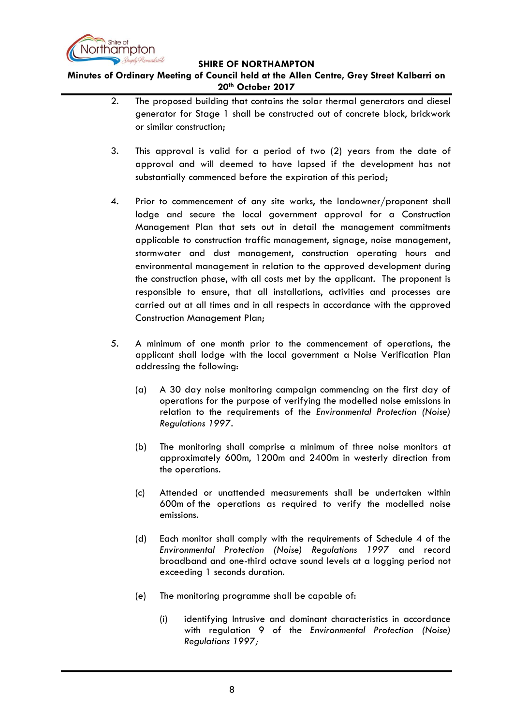

- 2. The proposed building that contains the solar thermal generators and diesel generator for Stage 1 shall be constructed out of concrete block, brickwork or similar construction;
- 3. This approval is valid for a period of two (2) years from the date of approval and will deemed to have lapsed if the development has not substantially commenced before the expiration of this period;
- 4. Prior to commencement of any site works, the landowner/proponent shall lodge and secure the local government approval for a Construction Management Plan that sets out in detail the management commitments applicable to construction traffic management, signage, noise management, stormwater and dust management, construction operating hours and environmental management in relation to the approved development during the construction phase, with all costs met by the applicant. The proponent is responsible to ensure, that all installations, activities and processes are carried out at all times and in all respects in accordance with the approved Construction Management Plan;
- 5. A minimum of one month prior to the commencement of operations, the applicant shall lodge with the local government a Noise Verification Plan addressing the following:
	- (a) A 30 day noise monitoring campaign commencing on the first day of operations for the purpose of verifying the modelled noise emissions in relation to the requirements of the *Environmental Protection (Noise) Regulations 1997.*
	- (b) The monitoring shall comprise a minimum of three noise monitors at approximately 600m, 1200m and 2400m in westerly direction from the operations.
	- (c) Attended or unattended measurements shall be undertaken within 600m of the operations as required to verify the modelled noise emissions.
	- (d) Each monitor shall comply with the requirements of Schedule 4 of the *Environmental Protection (Noise) Regulations 1997* and record broadband and one-third octave sound levels at a logging period not exceeding 1 seconds duration.
	- (e) The monitoring programme shall be capable of:
		- (i) identifying Intrusive and dominant characteristics in accordance with regulation 9 of the *Environmental Protection (Noise) Regulations 1997;*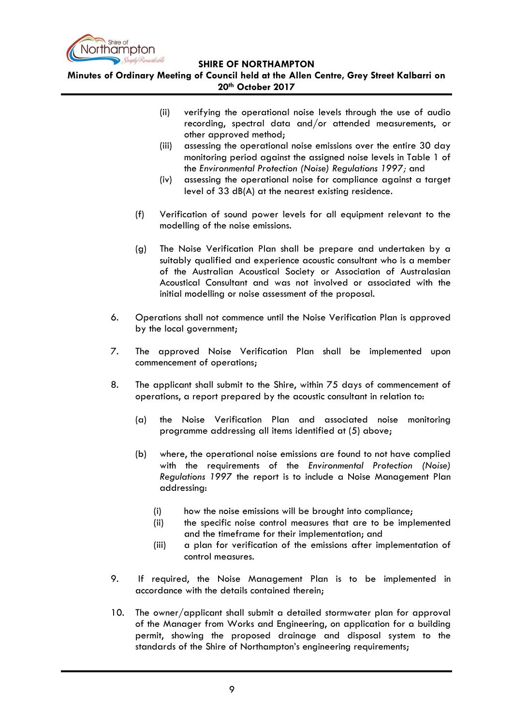

- (ii) verifying the operational noise levels through the use of audio recording, spectral data and/or attended measurements, or other approved method;
- (iii) assessing the operational noise emissions over the entire 30 day monitoring period against the assigned noise levels in Table 1 of the *Environmental Protection (Noise) Regulations 1997;* and
- (iv) assessing the operational noise for compliance against a target level of 33 dB(A) at the nearest existing residence*.*
- (f) Verification of sound power levels for all equipment relevant to the modelling of the noise emissions.
- (g) The Noise Verification Plan shall be prepare and undertaken by a suitably qualified and experience acoustic consultant who is a member of the Australian Acoustical Society or Association of Australasian Acoustical Consultant and was not involved or associated with the initial modelling or noise assessment of the proposal.
- 6. Operations shall not commence until the Noise Verification Plan is approved by the local government;
- 7. The approved Noise Verification Plan shall be implemented upon commencement of operations;
- 8. The applicant shall submit to the Shire, within 75 days of commencement of operations, a report prepared by the acoustic consultant in relation to:
	- (a) the Noise Verification Plan and associated noise monitoring programme addressing all items identified at (5) above;
	- (b) where, the operational noise emissions are found to not have complied with the requirements of the *Environmental Protection (Noise) Regulations 1997* the report is to include a Noise Management Plan addressing:
		- (i) how the noise emissions will be brought into compliance;
		- (ii) the specific noise control measures that are to be implemented and the timeframe for their implementation; and
		- (iii) a plan for verification of the emissions after implementation of control measures.
- 9. If required, the Noise Management Plan is to be implemented in accordance with the details contained therein;
- 10. The owner/applicant shall submit a detailed stormwater plan for approval of the Manager from Works and Engineering, on application for a building permit, showing the proposed drainage and disposal system to the standards of the Shire of Northampton's engineering requirements;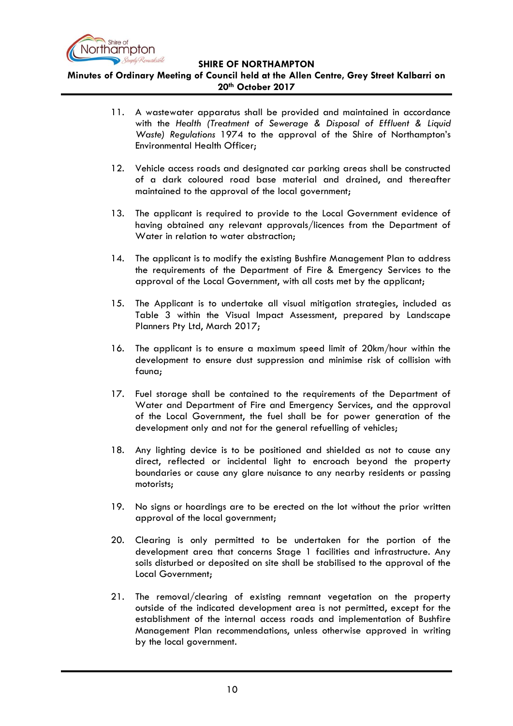

- 11. A wastewater apparatus shall be provided and maintained in accordance with the *Health (Treatment of Sewerage & Disposal of Effluent & Liquid Waste) Regulations* 1974 to the approval of the Shire of Northampton"s Environmental Health Officer;
- 12. Vehicle access roads and designated car parking areas shall be constructed of a dark coloured road base material and drained, and thereafter maintained to the approval of the local government;
- 13. The applicant is required to provide to the Local Government evidence of having obtained any relevant approvals/licences from the Department of Water in relation to water abstraction;
- 14. The applicant is to modify the existing Bushfire Management Plan to address the requirements of the Department of Fire & Emergency Services to the approval of the Local Government, with all costs met by the applicant;
- 15. The Applicant is to undertake all visual mitigation strategies, included as Table 3 within the Visual Impact Assessment, prepared by Landscape Planners Pty Ltd, March 2017;
- 16. The applicant is to ensure a maximum speed limit of 20km/hour within the development to ensure dust suppression and minimise risk of collision with fauna;
- 17. Fuel storage shall be contained to the requirements of the Department of Water and Department of Fire and Emergency Services, and the approval of the Local Government, the fuel shall be for power generation of the development only and not for the general refuelling of vehicles;
- 18. Any lighting device is to be positioned and shielded as not to cause any direct, reflected or incidental light to encroach beyond the property boundaries or cause any glare nuisance to any nearby residents or passing motorists;
- 19. No signs or hoardings are to be erected on the lot without the prior written approval of the local government;
- 20. Clearing is only permitted to be undertaken for the portion of the development area that concerns Stage 1 facilities and infrastructure. Any soils disturbed or deposited on site shall be stabilised to the approval of the Local Government;
- 21. The removal/clearing of existing remnant vegetation on the property outside of the indicated development area is not permitted, except for the establishment of the internal access roads and implementation of Bushfire Management Plan recommendations, unless otherwise approved in writing by the local government.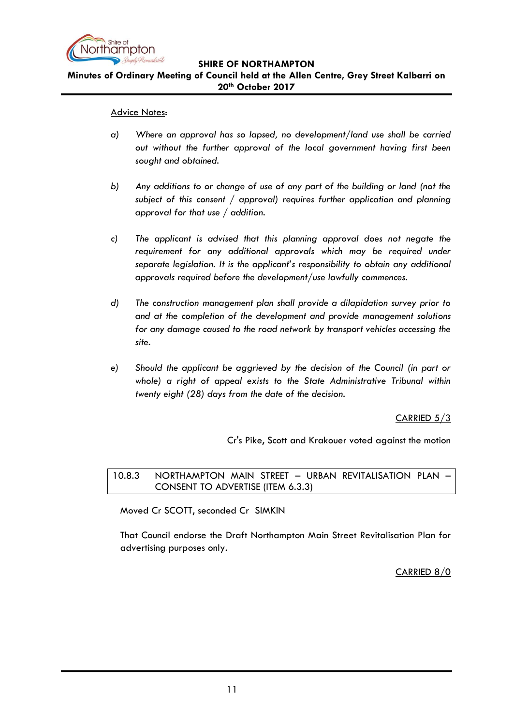

# **Minutes of Ordinary Meeting of Council held at the Allen Centre, Grey Street Kalbarri on 20th October 2017**

#### Advice Notes:

- *a) Where an approval has so lapsed, no development/land use shall be carried out without the further approval of the local government having first been sought and obtained.*
- *b) Any additions to or change of use of any part of the building or land (not the subject of this consent / approval) requires further application and planning approval for that use / addition.*
- *c) The applicant is advised that this planning approval does not negate the*  requirement for any additional approvals which may be required under *separate legislation. It is the applicant's responsibility to obtain any additional approvals required before the development/use lawfully commences.*
- *d) The construction management plan shall provide a dilapidation survey prior to and at the completion of the development and provide management solutions for any damage caused to the road network by transport vehicles accessing the site.*
- *e) Should the applicant be aggrieved by the decision of the Council (in part or whole) a right of appeal exists to the State Administrative Tribunal within twenty eight (28) days from the date of the decision.*

## CARRIED 5/3

Cr's Pike, Scott and Krakouer voted against the motion

## <span id="page-10-0"></span>10.8.3 NORTHAMPTON MAIN STREET – URBAN REVITALISATION PLAN – CONSENT TO ADVERTISE (ITEM 6.3.3)

Moved Cr SCOTT, seconded Cr SIMKIN

That Council endorse the Draft Northampton Main Street Revitalisation Plan for advertising purposes only.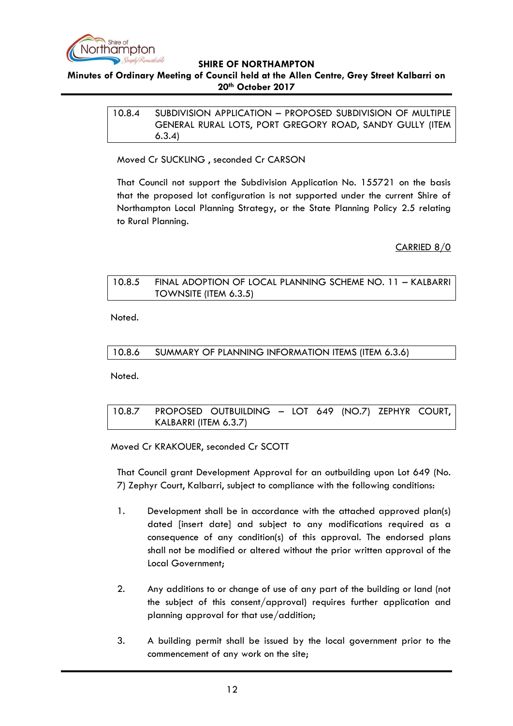

## <span id="page-11-0"></span>**Minutes of Ordinary Meeting of Council held at the Allen Centre, Grey Street Kalbarri on 20th October 2017**

10.8.4 SUBDIVISION APPLICATION – PROPOSED SUBDIVISION OF MULTIPLE GENERAL RURAL LOTS, PORT GREGORY ROAD, SANDY GULLY (ITEM 6.3.4)

Moved Cr SUCKLING , seconded Cr CARSON

That Council not support the Subdivision Application No. 155721 on the basis that the proposed lot configuration is not supported under the current Shire of Northampton Local Planning Strategy, or the State Planning Policy 2.5 relating to Rural Planning.

CARRIED 8/0

# <span id="page-11-1"></span>10.8.5 FINAL ADOPTION OF LOCAL PLANNING SCHEME NO. 11 – KALBARRI TOWNSITE (ITEM 6.3.5)

Noted.

## <span id="page-11-2"></span>10.8.6 SUMMARY OF PLANNING INFORMATION ITEMS (ITEM 6.3.6)

Noted.

<span id="page-11-3"></span>10.8.7 PROPOSED OUTBUILDING – LOT 649 (NO.7) ZEPHYR COURT, KALBARRI (ITEM 6.3.7)

Moved Cr KRAKOUER, seconded Cr SCOTT

That Council grant Development Approval for an outbuilding upon Lot 649 (No. 7) Zephyr Court, Kalbarri, subject to compliance with the following conditions:

- 1. Development shall be in accordance with the attached approved plan(s) dated [insert date] and subject to any modifications required as a consequence of any condition(s) of this approval. The endorsed plans shall not be modified or altered without the prior written approval of the Local Government;
- 2. Any additions to or change of use of any part of the building or land (not the subject of this consent/approval) requires further application and planning approval for that use/addition;
- 3. A building permit shall be issued by the local government prior to the commencement of any work on the site;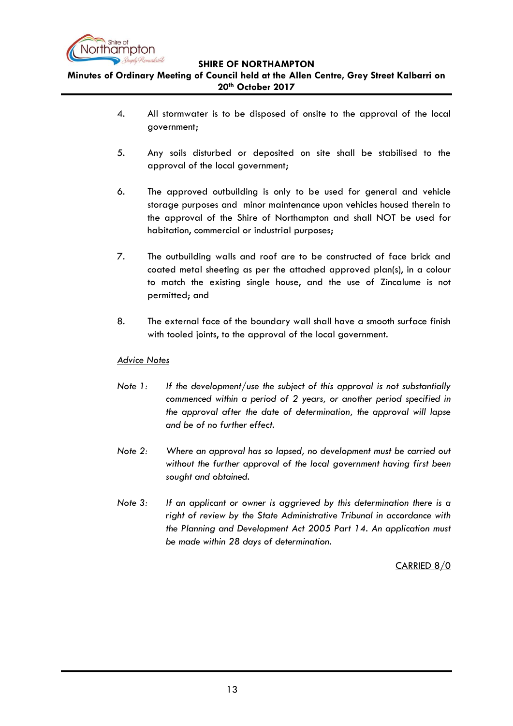

**Minutes of Ordinary Meeting of Council held at the Allen Centre, Grey Street Kalbarri on 20th October 2017**

- 4. All stormwater is to be disposed of onsite to the approval of the local government;
- 5. Any soils disturbed or deposited on site shall be stabilised to the approval of the local government;
- 6. The approved outbuilding is only to be used for general and vehicle storage purposes and minor maintenance upon vehicles housed therein to the approval of the Shire of Northampton and shall NOT be used for habitation, commercial or industrial purposes;
- 7. The outbuilding walls and roof are to be constructed of face brick and coated metal sheeting as per the attached approved plan(s), in a colour to match the existing single house, and the use of Zincalume is not permitted; and
- 8. The external face of the boundary wall shall have a smooth surface finish with tooled joints, to the approval of the local government.

# *Advice Notes*

- *Note 1: If the development/use the subject of this approval is not substantially commenced within a period of 2 years, or another period specified in the approval after the date of determination, the approval will lapse and be of no further effect.*
- *Note 2: Where an approval has so lapsed, no development must be carried out without the further approval of the local government having first been sought and obtained.*
- *Note 3: If an applicant or owner is aggrieved by this determination there is a right of review by the State Administrative Tribunal in accordance with the Planning and Development Act 2005 Part 14. An application must be made within 28 days of determination.*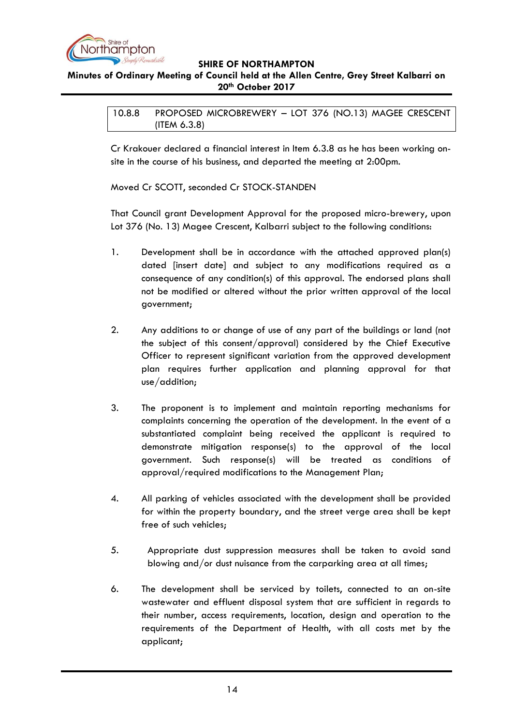

# <span id="page-13-0"></span>**Minutes of Ordinary Meeting of Council held at the Allen Centre, Grey Street Kalbarri on 20th October 2017**

10.8.8 PROPOSED MICROBREWERY – LOT 376 (NO.13) MAGEE CRESCENT (ITEM 6.3.8)

Cr Krakouer declared a financial interest in Item 6.3.8 as he has been working onsite in the course of his business, and departed the meeting at 2:00pm.

Moved Cr SCOTT, seconded Cr STOCK-STANDEN

That Council grant Development Approval for the proposed micro-brewery, upon Lot 376 (No. 13) Magee Crescent, Kalbarri subject to the following conditions:

- 1. Development shall be in accordance with the attached approved plan(s) dated [insert date] and subject to any modifications required as a consequence of any condition(s) of this approval. The endorsed plans shall not be modified or altered without the prior written approval of the local government;
- 2. Any additions to or change of use of any part of the buildings or land (not the subject of this consent/approval) considered by the Chief Executive Officer to represent significant variation from the approved development plan requires further application and planning approval for that use/addition;
- 3. The proponent is to implement and maintain reporting mechanisms for complaints concerning the operation of the development. In the event of a substantiated complaint being received the applicant is required to demonstrate mitigation response(s) to the approval of the local government. Such response(s) will be treated as conditions of approval/required modifications to the Management Plan;
- 4. All parking of vehicles associated with the development shall be provided for within the property boundary, and the street verge area shall be kept free of such vehicles;
- 5. Appropriate dust suppression measures shall be taken to avoid sand blowing and/or dust nuisance from the carparking area at all times;
- 6. The development shall be serviced by toilets, connected to an on-site wastewater and effluent disposal system that are sufficient in regards to their number, access requirements, location, design and operation to the requirements of the Department of Health, with all costs met by the applicant;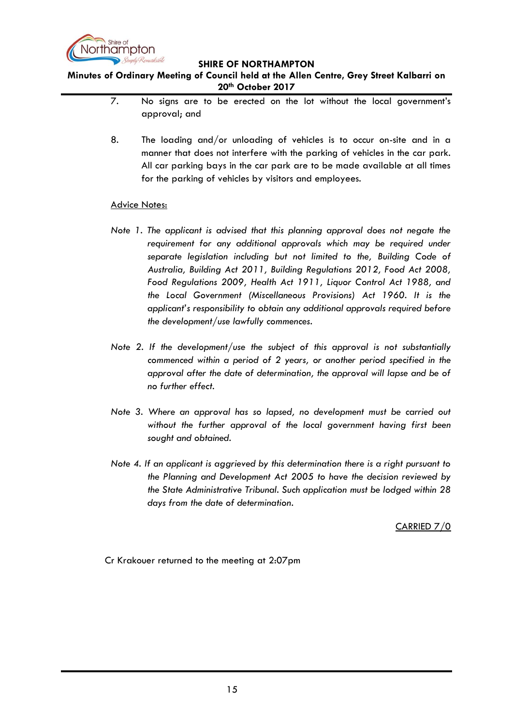

**Minutes of Ordinary Meeting of Council held at the Allen Centre, Grey Street Kalbarri on 20th October 2017**

- 7. No signs are to be erected on the lot without the local government"s approval; and
- 8. The loading and/or unloading of vehicles is to occur on-site and in a manner that does not interfere with the parking of vehicles in the car park. All car parking bays in the car park are to be made available at all times for the parking of vehicles by visitors and employees.

#### Advice Notes:

- *Note 1. The applicant is advised that this planning approval does not negate the*  requirement for any additional approvals which may be required under *separate legislation including but not limited to the, Building Code of Australia, Building Act 2011, Building Regulations 2012, Food Act 2008, Food Regulations 2009, Health Act 1911, Liquor Control Act 1988, and the Local Government (Miscellaneous Provisions) Act 1960. It is the applicant's responsibility to obtain any additional approvals required before the development/use lawfully commences.*
- *Note 2. If the development/use the subject of this approval is not substantially commenced within a period of 2 years, or another period specified in the approval after the date of determination, the approval will lapse and be of no further effect.*
- *Note 3. Where an approval has so lapsed, no development must be carried out without the further approval of the local government having first been sought and obtained.*
- *Note 4. If an applicant is aggrieved by this determination there is a right pursuant to the Planning and Development Act 2005 to have the decision reviewed by the State Administrative Tribunal. Such application must be lodged within 28 days from the date of determination*.

CARRIED 7/0

Cr Krakouer returned to the meeting at 2:07pm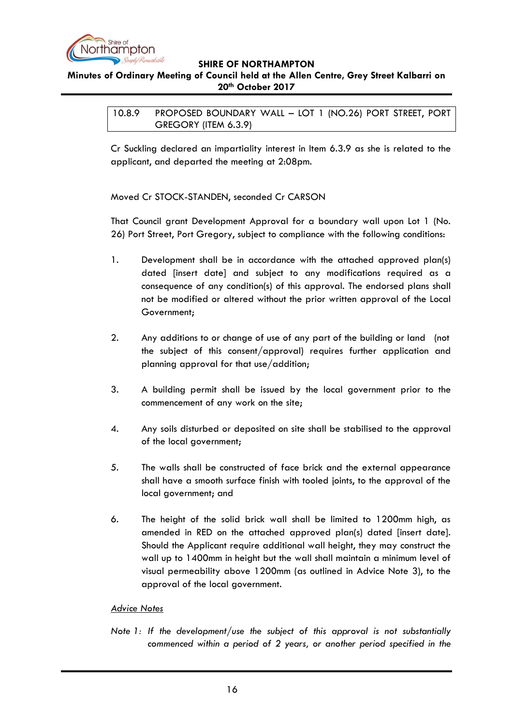

## <span id="page-15-0"></span>**Minutes of Ordinary Meeting of Council held at the Allen Centre, Grey Street Kalbarri on 20th October 2017**

10.8.9 PROPOSED BOUNDARY WALL – LOT 1 (NO.26) PORT STREET, PORT GREGORY (ITEM 6.3.9)

Cr Suckling declared an impartiality interest in Item 6.3.9 as she is related to the applicant, and departed the meeting at 2:08pm.

Moved Cr STOCK-STANDEN, seconded Cr CARSON

That Council grant Development Approval for a boundary wall upon Lot 1 (No. 26) Port Street, Port Gregory, subject to compliance with the following conditions:

- 1. Development shall be in accordance with the attached approved plan(s) dated [insert date] and subject to any modifications required as a consequence of any condition(s) of this approval. The endorsed plans shall not be modified or altered without the prior written approval of the Local Government;
- 2. Any additions to or change of use of any part of the building or land (not the subject of this consent/approval) requires further application and planning approval for that use/addition;
- 3. A building permit shall be issued by the local government prior to the commencement of any work on the site;
- 4. Any soils disturbed or deposited on site shall be stabilised to the approval of the local government;
- 5. The walls shall be constructed of face brick and the external appearance shall have a smooth surface finish with tooled joints, to the approval of the local government; and
- 6. The height of the solid brick wall shall be limited to 1200mm high, as amended in RED on the attached approved plan(s) dated [insert date]. Should the Applicant require additional wall height, they may construct the wall up to 1400mm in height but the wall shall maintain a minimum level of visual permeability above 1200mm (as outlined in Advice Note 3), to the approval of the local government.

## *Advice Notes*

*Note 1: If the development/use the subject of this approval is not substantially commenced within a period of 2 years, or another period specified in the*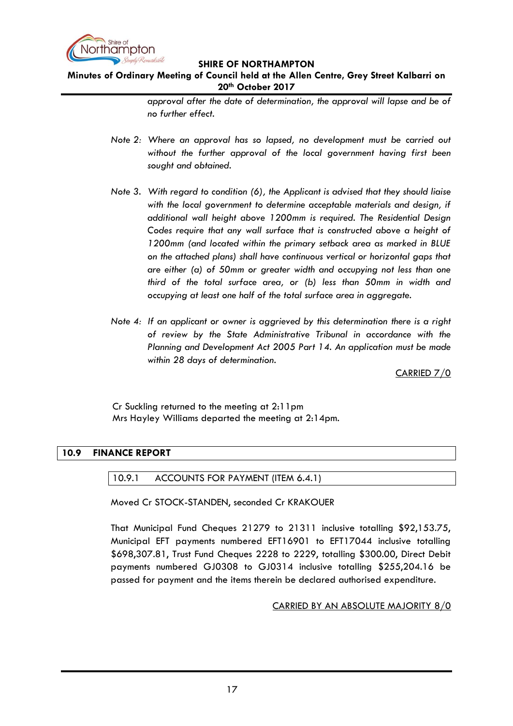

# **Minutes of Ordinary Meeting of Council held at the Allen Centre, Grey Street Kalbarri on 20th October 2017**

*approval after the date of determination, the approval will lapse and be of no further effect.*

- *Note 2: Where an approval has so lapsed, no development must be carried out without the further approval of the local government having first been sought and obtained.*
- *Note 3. With regard to condition (6), the Applicant is advised that they should liaise with the local government to determine acceptable materials and design, if additional wall height above 1200mm is required. The Residential Design*  Codes require that any wall surface that is constructed above a height of *1200mm (and located within the primary setback area as marked in BLUE on the attached plans) shall have continuous vertical or horizontal gaps that are either (a) of 50mm or greater width and occupying not less than one third of the total surface area, or (b) less than 50mm in width and occupying at least one half of the total surface area in aggregate.*
- *Note 4: If an applicant or owner is aggrieved by this determination there is a right of review by the State Administrative Tribunal in accordance with the Planning and Development Act 2005 Part 14. An application must be made within 28 days of determination.*

CARRIED 7/0

Cr Suckling returned to the meeting at 2:11pm Mrs Hayley Williams departed the meeting at 2:14pm.

## <span id="page-16-1"></span><span id="page-16-0"></span>**10.9 FINANCE REPORT**

10.9.1 ACCOUNTS FOR PAYMENT (ITEM 6.4.1)

Moved Cr STOCK-STANDEN, seconded Cr KRAKOUER

That Municipal Fund Cheques 21279 to 21311 inclusive totalling \$92,153.75, Municipal EFT payments numbered EFT16901 to EFT17044 inclusive totalling \$698,307.81, Trust Fund Cheques 2228 to 2229, totalling \$300.00, Direct Debit payments numbered GJ0308 to GJ0314 inclusive totalling \$255,204.16 be passed for payment and the items therein be declared authorised expenditure.

## CARRIED BY AN ABSOLUTE MAJORITY 8/0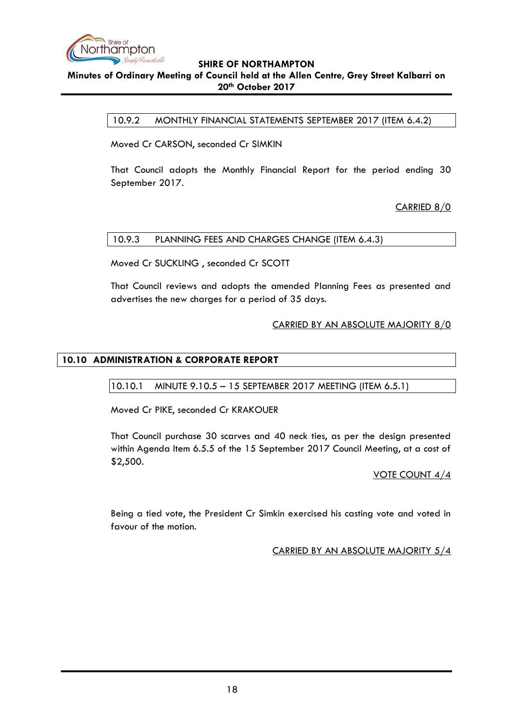

## <span id="page-17-0"></span>**Minutes of Ordinary Meeting of Council held at the Allen Centre, Grey Street Kalbarri on 20th October 2017**

10.9.2 MONTHLY FINANCIAL STATEMENTS SEPTEMBER 2017 (ITEM 6.4.2)

Moved Cr CARSON, seconded Cr SIMKIN

That Council adopts the Monthly Financial Report for the period ending 30 September 2017.

CARRIED 8/0

#### <span id="page-17-1"></span>10.9.3 PLANNING FEES AND CHARGES CHANGE (ITEM 6.4.3)

Moved Cr SUCKLING , seconded Cr SCOTT

That Council reviews and adopts the amended Planning Fees as presented and advertises the new charges for a period of 35 days.

## CARRIED BY AN ABSOLUTE MAJORITY 8/0

## <span id="page-17-3"></span><span id="page-17-2"></span>**10.10 ADMINISTRATION & CORPORATE REPORT**

10.10.1 MINUTE 9.10.5 – 15 SEPTEMBER 2017 MEETING (ITEM 6.5.1)

Moved Cr PIKE, seconded Cr KRAKOUER

That Council purchase 30 scarves and 40 neck ties, as per the design presented within Agenda Item 6.5.5 of the 15 September 2017 Council Meeting, at a cost of \$2,500.

#### VOTE COUNT 4/4

Being a tied vote, the President Cr Simkin exercised his casting vote and voted in favour of the motion.

CARRIED BY AN ABSOLUTE MAJORITY 5/4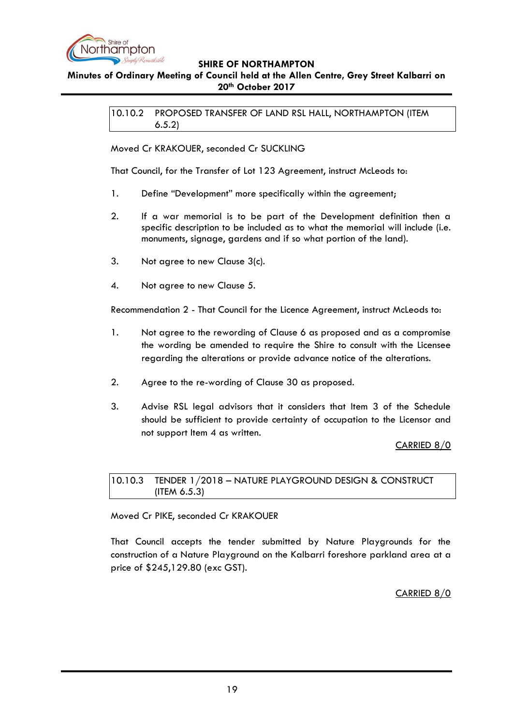

# <span id="page-18-0"></span>**Minutes of Ordinary Meeting of Council held at the Allen Centre, Grey Street Kalbarri on 20th October 2017**

10.10.2 PROPOSED TRANSFER OF LAND RSL HALL, NORTHAMPTON (ITEM 6.5.2)

Moved Cr KRAKOUER, seconded Cr SUCKLING

That Council, for the Transfer of Lot 123 Agreement, instruct McLeods to:

- 1. Define "Development" more specifically within the agreement;
- 2. If a war memorial is to be part of the Development definition then a specific description to be included as to what the memorial will include (i.e. monuments, signage, gardens and if so what portion of the land).
- 3. Not agree to new Clause 3(c).
- 4. Not agree to new Clause 5.

Recommendation 2 - That Council for the Licence Agreement, instruct McLeods to:

- 1. Not agree to the rewording of Clause 6 as proposed and as a compromise the wording be amended to require the Shire to consult with the Licensee regarding the alterations or provide advance notice of the alterations.
- 2. Agree to the re-wording of Clause 30 as proposed.
- 3. Advise RSL legal advisors that it considers that Item 3 of the Schedule should be sufficient to provide certainty of occupation to the Licensor and not support Item 4 as written.

CARRIED 8/0

## <span id="page-18-1"></span>10.10.3 TENDER 1/2018 – NATURE PLAYGROUND DESIGN & CONSTRUCT (ITEM 6.5.3)

Moved Cr PIKE, seconded Cr KRAKOUER

That Council accepts the tender submitted by Nature Playgrounds for the construction of a Nature Playground on the Kalbarri foreshore parkland area at a price of \$245,129.80 (exc GST).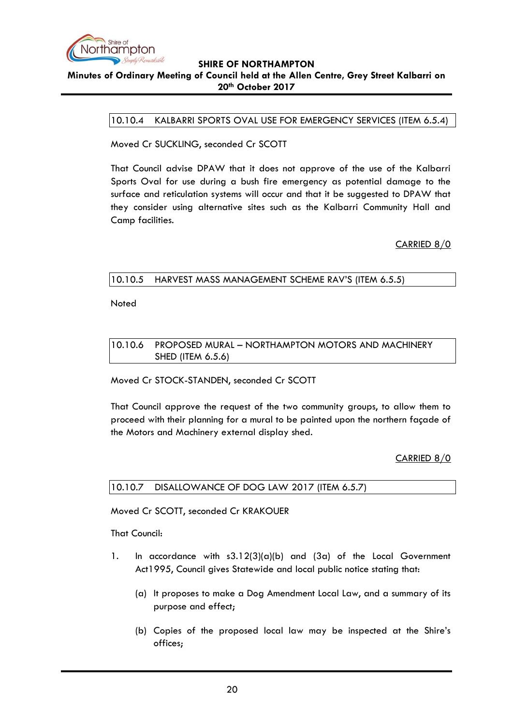

#### <span id="page-19-0"></span>**Minutes of Ordinary Meeting of Council held at the Allen Centre, Grey Street Kalbarri on 20th October 2017**

10.10.4 KALBARRI SPORTS OVAL USE FOR EMERGENCY SERVICES (ITEM 6.5.4)

Moved Cr SUCKLING, seconded Cr SCOTT

That Council advise DPAW that it does not approve of the use of the Kalbarri Sports Oval for use during a bush fire emergency as potential damage to the surface and reticulation systems will occur and that it be suggested to DPAW that they consider using alternative sites such as the Kalbarri Community Hall and Camp facilities.

CARRIED 8/0

## <span id="page-19-1"></span>10.10.5 HARVEST MASS MANAGEMENT SCHEME RAV"S (ITEM 6.5.5)

Noted

<span id="page-19-2"></span>10.10.6 PROPOSED MURAL – NORTHAMPTON MOTORS AND MACHINERY SHED (ITEM 6.5.6)

Moved Cr STOCK-STANDEN, seconded Cr SCOTT

That Council approve the request of the two community groups, to allow them to proceed with their planning for a mural to be painted upon the northern façade of the Motors and Machinery external display shed.

# CARRIED 8/0

## <span id="page-19-3"></span>10.10.7 DISALLOWANCE OF DOG LAW 2017 (ITEM 6.5.7)

Moved Cr SCOTT, seconded Cr KRAKOUER

That Council:

- 1. In accordance with  $s3.12(3)(a)(b)$  and  $(3a)$  of the Local Government Act1995, Council gives Statewide and local public notice stating that:
	- (a) It proposes to make a Dog Amendment Local Law, and a summary of its purpose and effect;
	- (b) Copies of the proposed local law may be inspected at the Shire"s offices;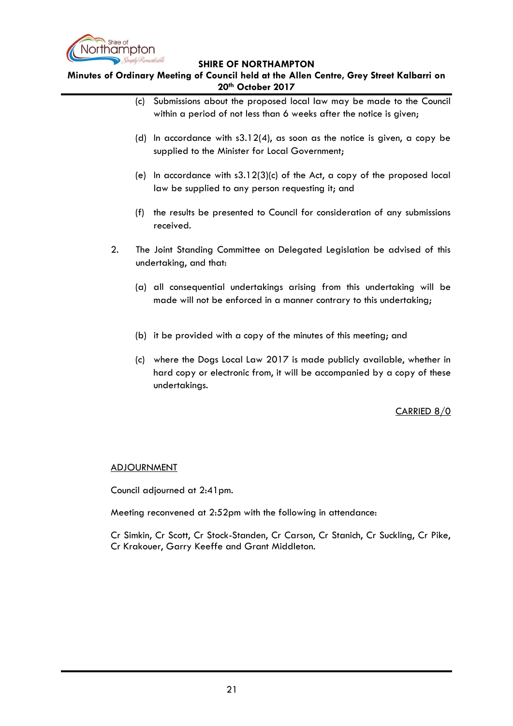

**Minutes of Ordinary Meeting of Council held at the Allen Centre, Grey Street Kalbarri on 20th October 2017**

- (c) Submissions about the proposed local law may be made to the Council within a period of not less than 6 weeks after the notice is given;
- (d) In accordance with s3.12(4), as soon as the notice is given, a copy be supplied to the Minister for Local Government;
- (e) In accordance with  $s3.12(3)(c)$  of the Act, a copy of the proposed local law be supplied to any person requesting it; and
- (f) the results be presented to Council for consideration of any submissions received.
- 2. The Joint Standing Committee on Delegated Legislation be advised of this undertaking, and that:
	- (a) all consequential undertakings arising from this undertaking will be made will not be enforced in a manner contrary to this undertaking;
	- (b) it be provided with a copy of the minutes of this meeting; and
	- (c) where the Dogs Local Law 2017 is made publicly available, whether in hard copy or electronic from, it will be accompanied by a copy of these undertakings.

CARRIED 8/0

## ADJOURNMENT

Council adjourned at 2:41pm.

Meeting reconvened at 2:52pm with the following in attendance:

Cr Simkin, Cr Scott, Cr Stock-Standen, Cr Carson, Cr Stanich, Cr Suckling, Cr Pike, Cr Krakouer, Garry Keeffe and Grant Middleton.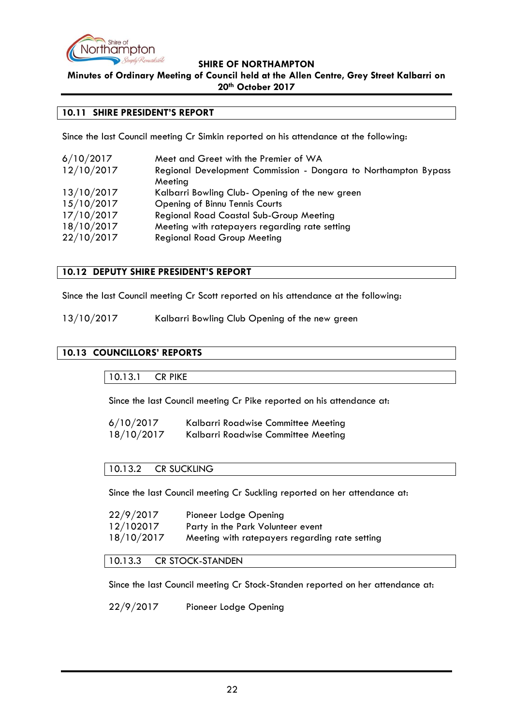

**Minutes of Ordinary Meeting of Council held at the Allen Centre, Grey Street Kalbarri on 20th October 2017**

#### <span id="page-21-0"></span>**10.11 SHIRE PRESIDENT'S REPORT**

Since the last Council meeting Cr Simkin reported on his attendance at the following:

| 6/10/2017  | Meet and Greet with the Premier of WA                           |
|------------|-----------------------------------------------------------------|
| 12/10/2017 | Regional Development Commission - Dongara to Northampton Bypass |
|            | Meeting                                                         |
| 13/10/2017 | Kalbarri Bowling Club- Opening of the new green                 |
| 15/10/2017 | Opening of Binnu Tennis Courts                                  |
| 17/10/2017 | <b>Regional Road Coastal Sub-Group Meeting</b>                  |
| 18/10/2017 | Meeting with ratepayers regarding rate setting                  |
| 22/10/2017 | <b>Regional Road Group Meeting</b>                              |
|            |                                                                 |

#### <span id="page-21-1"></span>**10.12 DEPUTY SHIRE PRESIDENT'S REPORT**

Since the last Council meeting Cr Scott reported on his attendance at the following:

13/10/2017 Kalbarri Bowling Club Opening of the new green

# <span id="page-21-3"></span><span id="page-21-2"></span>**10.13 COUNCILLORS' REPORTS**

10.13.1 CR PIKE

Since the last Council meeting Cr Pike reported on his attendance at:

| 6/10/2017  | Kalbarri Roadwise Committee Meeting |
|------------|-------------------------------------|
| 18/10/2017 | Kalbarri Roadwise Committee Meeting |

## <span id="page-21-4"></span>10.13.2 CR SUCKLING

Since the last Council meeting Cr Suckling reported on her attendance at:

| 22/9/2017  | Pioneer Lodge Opening                          |
|------------|------------------------------------------------|
| 12/102017  | Party in the Park Volunteer event              |
| 18/10/2017 | Meeting with ratepayers regarding rate setting |

<span id="page-21-5"></span>10.13.3 CR STOCK-STANDEN

Since the last Council meeting Cr Stock-Standen reported on her attendance at:

22/9/2017 Pioneer Lodge Opening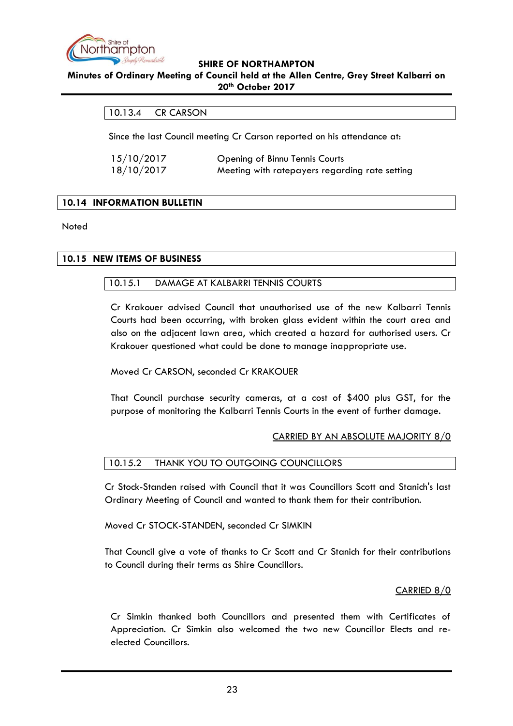

#### <span id="page-22-0"></span>**Minutes of Ordinary Meeting of Council held at the Allen Centre, Grey Street Kalbarri on 20th October 2017**

## 10.13.4 CR CARSON

Since the last Council meeting Cr Carson reported on his attendance at:

| 15/10/2017 | Opening of Binnu Tennis Courts                 |
|------------|------------------------------------------------|
| 18/10/2017 | Meeting with ratepayers regarding rate setting |

## <span id="page-22-1"></span>**10.14 INFORMATION BULLETIN**

Noted

## <span id="page-22-3"></span><span id="page-22-2"></span>**10.15 NEW ITEMS OF BUSINESS**

#### 10.15.1 DAMAGE AT KALBARRI TENNIS COURTS

Cr Krakouer advised Council that unauthorised use of the new Kalbarri Tennis Courts had been occurring, with broken glass evident within the court area and also on the adjacent lawn area, which created a hazard for authorised users. Cr Krakouer questioned what could be done to manage inappropriate use.

#### Moved Cr CARSON, seconded Cr KRAKOUER

That Council purchase security cameras, at a cost of \$400 plus GST, for the purpose of monitoring the Kalbarri Tennis Courts in the event of further damage.

#### CARRIED BY AN ABSOLUTE MAJORITY 8/0

#### <span id="page-22-4"></span>10.15.2 THANK YOU TO OUTGOING COUNCILLORS

Cr Stock-Standen raised with Council that it was Councillors Scott and Stanich's last Ordinary Meeting of Council and wanted to thank them for their contribution.

Moved Cr STOCK-STANDEN, seconded Cr SIMKIN

That Council give a vote of thanks to Cr Scott and Cr Stanich for their contributions to Council during their terms as Shire Councillors.

## CARRIED 8/0

Cr Simkin thanked both Councillors and presented them with Certificates of Appreciation. Cr Simkin also welcomed the two new Councillor Elects and reelected Councillors.